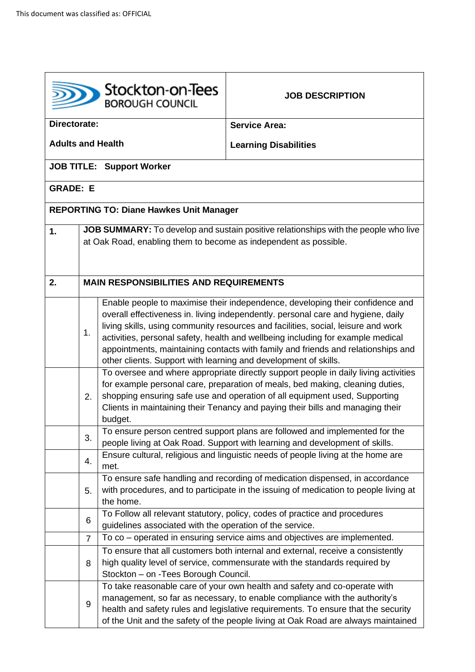|                          |                                               | Stockton-on-Tees<br><b>BOROUGH COUNCIL</b>                       | <b>JOB DESCRIPTION</b>                                                                                                                                                                                                                                                                                                                                                                                                        |  |
|--------------------------|-----------------------------------------------|------------------------------------------------------------------|-------------------------------------------------------------------------------------------------------------------------------------------------------------------------------------------------------------------------------------------------------------------------------------------------------------------------------------------------------------------------------------------------------------------------------|--|
| Directorate:             |                                               |                                                                  | <b>Service Area:</b>                                                                                                                                                                                                                                                                                                                                                                                                          |  |
| <b>Adults and Health</b> |                                               |                                                                  | <b>Learning Disabilities</b>                                                                                                                                                                                                                                                                                                                                                                                                  |  |
|                          |                                               | <b>JOB TITLE: Support Worker</b>                                 |                                                                                                                                                                                                                                                                                                                                                                                                                               |  |
| <b>GRADE: E</b>          |                                               |                                                                  |                                                                                                                                                                                                                                                                                                                                                                                                                               |  |
|                          |                                               | <b>REPORTING TO: Diane Hawkes Unit Manager</b>                   |                                                                                                                                                                                                                                                                                                                                                                                                                               |  |
| 1.                       |                                               |                                                                  | JOB SUMMARY: To develop and sustain positive relationships with the people who live                                                                                                                                                                                                                                                                                                                                           |  |
|                          |                                               | at Oak Road, enabling them to become as independent as possible. |                                                                                                                                                                                                                                                                                                                                                                                                                               |  |
| 2.                       | <b>MAIN RESPONSIBILITIES AND REQUIREMENTS</b> |                                                                  |                                                                                                                                                                                                                                                                                                                                                                                                                               |  |
|                          | 1.                                            | other clients. Support with learning and development of skills.  | Enable people to maximise their independence, developing their confidence and<br>overall effectiveness in. living independently. personal care and hygiene, daily<br>living skills, using community resources and facilities, social, leisure and work<br>activities, personal safety, health and wellbeing including for example medical<br>appointments, maintaining contacts with family and friends and relationships and |  |
|                          | 2.                                            | budget.                                                          | To oversee and where appropriate directly support people in daily living activities<br>for example personal care, preparation of meals, bed making, cleaning duties,<br>shopping ensuring safe use and operation of all equipment used, Supporting<br>Clients in maintaining their Tenancy and paying their bills and managing their                                                                                          |  |
|                          | 3.                                            |                                                                  | To ensure person centred support plans are followed and implemented for the<br>people living at Oak Road. Support with learning and development of skills.                                                                                                                                                                                                                                                                    |  |
|                          | 4.                                            | met.                                                             | Ensure cultural, religious and linguistic needs of people living at the home are                                                                                                                                                                                                                                                                                                                                              |  |
|                          | 5.                                            | the home.                                                        | To ensure safe handling and recording of medication dispensed, in accordance<br>with procedures, and to participate in the issuing of medication to people living at                                                                                                                                                                                                                                                          |  |
|                          | 6                                             | quidelines associated with the operation of the service.         | To Follow all relevant statutory, policy, codes of practice and procedures                                                                                                                                                                                                                                                                                                                                                    |  |
|                          | $\overline{7}$                                |                                                                  | To co – operated in ensuring service aims and objectives are implemented.                                                                                                                                                                                                                                                                                                                                                     |  |
|                          | 8                                             | Stockton - on -Tees Borough Council.                             | To ensure that all customers both internal and external, receive a consistently<br>high quality level of service, commensurate with the standards required by                                                                                                                                                                                                                                                                 |  |
|                          | 9                                             |                                                                  | To take reasonable care of your own health and safety and co-operate with<br>management, so far as necessary, to enable compliance with the authority's<br>health and safety rules and legislative requirements. To ensure that the security<br>of the Unit and the safety of the people living at Oak Road are always maintained                                                                                             |  |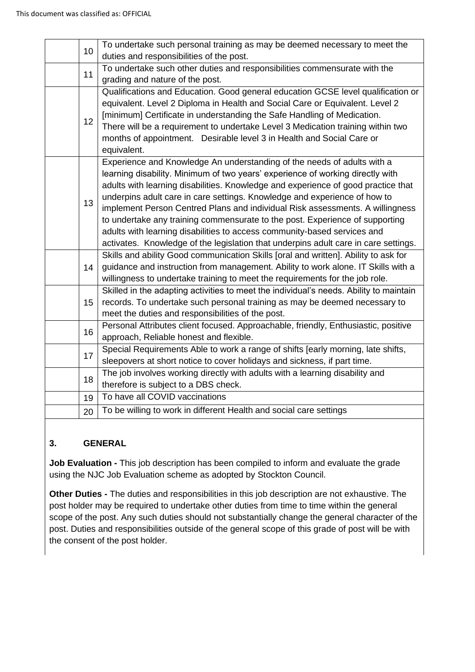| 10 | To undertake such personal training as may be deemed necessary to meet the<br>duties and responsibilities of the post. |
|----|------------------------------------------------------------------------------------------------------------------------|
|    | To undertake such other duties and responsibilities commensurate with the                                              |
| 11 | grading and nature of the post.                                                                                        |
|    | Qualifications and Education. Good general education GCSE level qualification or                                       |
|    | equivalent. Level 2 Diploma in Health and Social Care or Equivalent. Level 2                                           |
|    | [minimum] Certificate in understanding the Safe Handling of Medication.                                                |
| 12 | There will be a requirement to undertake Level 3 Medication training within two                                        |
|    | months of appointment. Desirable level 3 in Health and Social Care or                                                  |
|    | equivalent.                                                                                                            |
|    | Experience and Knowledge An understanding of the needs of adults with a                                                |
|    | learning disability. Minimum of two years' experience of working directly with                                         |
|    | adults with learning disabilities. Knowledge and experience of good practice that                                      |
|    | underpins adult care in care settings. Knowledge and experience of how to                                              |
| 13 | implement Person Centred Plans and individual Risk assessments. A willingness                                          |
|    | to undertake any training commensurate to the post. Experience of supporting                                           |
|    | adults with learning disabilities to access community-based services and                                               |
|    | activates. Knowledge of the legislation that underpins adult care in care settings.                                    |
|    | Skills and ability Good communication Skills [oral and written]. Ability to ask for                                    |
| 14 | guidance and instruction from management. Ability to work alone. IT Skills with a                                      |
|    | willingness to undertake training to meet the requirements for the job role.                                           |
|    | Skilled in the adapting activities to meet the individual's needs. Ability to maintain                                 |
| 15 | records. To undertake such personal training as may be deemed necessary to                                             |
|    | meet the duties and responsibilities of the post.                                                                      |
| 16 | Personal Attributes client focused. Approachable, friendly, Enthusiastic, positive                                     |
|    | approach, Reliable honest and flexible.                                                                                |
| 17 | Special Requirements Able to work a range of shifts [early morning, late shifts,                                       |
|    | sleepovers at short notice to cover holidays and sickness, if part time.                                               |
| 18 | The job involves working directly with adults with a learning disability and                                           |
|    | therefore is subject to a DBS check.                                                                                   |
| 19 | To have all COVID vaccinations                                                                                         |
| 20 | To be willing to work in different Health and social care settings                                                     |
|    |                                                                                                                        |

## **3. GENERAL**

**Job Evaluation -** This job description has been compiled to inform and evaluate the grade using the NJC Job Evaluation scheme as adopted by Stockton Council.

**Other Duties -** The duties and responsibilities in this job description are not exhaustive. The post holder may be required to undertake other duties from time to time within the general scope of the post. Any such duties should not substantially change the general character of the post. Duties and responsibilities outside of the general scope of this grade of post will be with the consent of the post holder.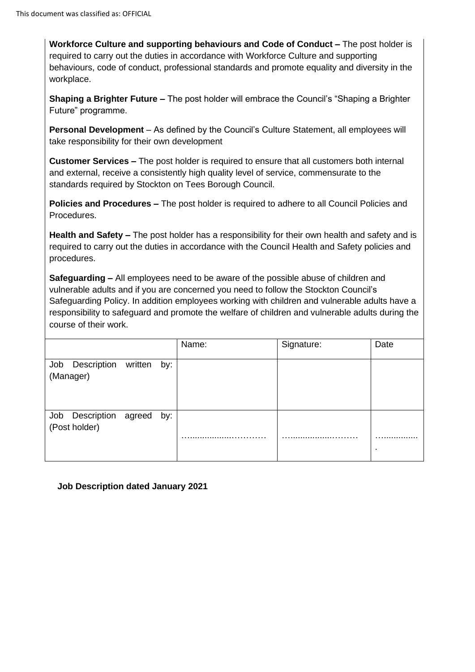**Workforce Culture and supporting behaviours and Code of Conduct –** The post holder is required to carry out the duties in accordance with Workforce Culture and supporting behaviours, code of conduct, professional standards and promote equality and diversity in the workplace.

**Shaping a Brighter Future –** The post holder will embrace the Council's "Shaping a Brighter Future" programme.

**Personal Development** – As defined by the Council's Culture Statement, all employees will take responsibility for their own development

**Customer Services –** The post holder is required to ensure that all customers both internal and external, receive a consistently high quality level of service, commensurate to the standards required by Stockton on Tees Borough Council.

**Policies and Procedures –** The post holder is required to adhere to all Council Policies and **Procedures** 

**Health and Safety –** The post holder has a responsibility for their own health and safety and is required to carry out the duties in accordance with the Council Health and Safety policies and procedures.

**Safeguarding –** All employees need to be aware of the possible abuse of children and vulnerable adults and if you are concerned you need to follow the Stockton Council's Safeguarding Policy. In addition employees working with children and vulnerable adults have a responsibility to safeguard and promote the welfare of children and vulnerable adults during the course of their work.

|                                             |  | Name: | Signature: | Date    |
|---------------------------------------------|--|-------|------------|---------|
| Job Description written by:<br>(Manager)    |  |       |            |         |
| Job Description agreed by:<br>(Post holder) |  | . .   |            | .<br>п. |

**Job Description dated January 2021**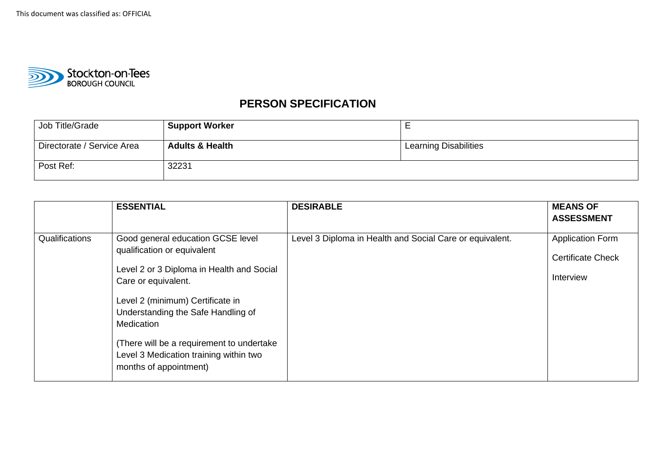

## **PERSON SPECIFICATION**

| Job Title/Grade            | <b>Support Worker</b>      | <u>_</u>              |
|----------------------------|----------------------------|-----------------------|
| Directorate / Service Area | <b>Adults &amp; Health</b> | Learning Disabilities |
| Post Ref:                  | 32231                      |                       |

|                | <b>ESSENTIAL</b>                                                                                                                                                                                                                                                                                                                              | <b>DESIRABLE</b>                                         | <b>MEANS OF</b><br><b>ASSESSMENT</b>                             |
|----------------|-----------------------------------------------------------------------------------------------------------------------------------------------------------------------------------------------------------------------------------------------------------------------------------------------------------------------------------------------|----------------------------------------------------------|------------------------------------------------------------------|
| Qualifications | Good general education GCSE level<br>qualification or equivalent<br>Level 2 or 3 Diploma in Health and Social<br>Care or equivalent.<br>Level 2 (minimum) Certificate in<br>Understanding the Safe Handling of<br>Medication<br>(There will be a requirement to undertake<br>Level 3 Medication training within two<br>months of appointment) | Level 3 Diploma in Health and Social Care or equivalent. | <b>Application Form</b><br><b>Certificate Check</b><br>Interview |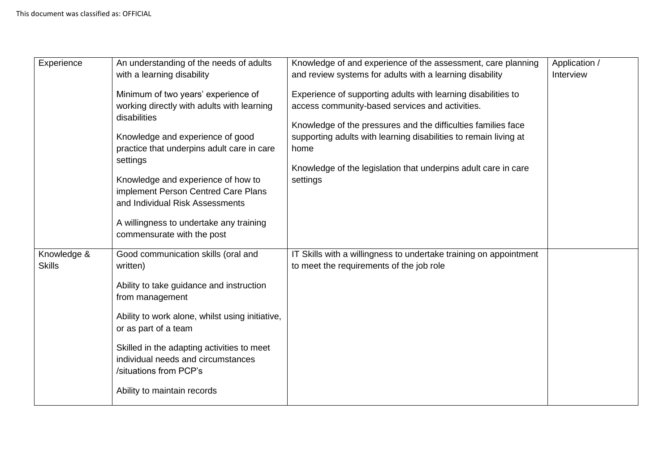| Experience    | An understanding of the needs of adults<br>with a learning disability<br>Minimum of two years' experience of<br>working directly with adults with learning<br>disabilities<br>Knowledge and experience of good<br>practice that underpins adult care in care<br>settings<br>Knowledge and experience of how to<br>implement Person Centred Care Plans | Knowledge of and experience of the assessment, care planning<br>and review systems for adults with a learning disability<br>Experience of supporting adults with learning disabilities to<br>access community-based services and activities.<br>Knowledge of the pressures and the difficulties families face<br>supporting adults with learning disabilities to remain living at<br>home<br>Knowledge of the legislation that underpins adult care in care<br>settings | Application /<br>Interview |
|---------------|-------------------------------------------------------------------------------------------------------------------------------------------------------------------------------------------------------------------------------------------------------------------------------------------------------------------------------------------------------|-------------------------------------------------------------------------------------------------------------------------------------------------------------------------------------------------------------------------------------------------------------------------------------------------------------------------------------------------------------------------------------------------------------------------------------------------------------------------|----------------------------|
| Knowledge &   | and Individual Risk Assessments<br>A willingness to undertake any training<br>commensurate with the post<br>Good communication skills (oral and                                                                                                                                                                                                       | IT Skills with a willingness to undertake training on appointment                                                                                                                                                                                                                                                                                                                                                                                                       |                            |
| <b>Skills</b> | written)<br>Ability to take guidance and instruction<br>from management<br>Ability to work alone, whilst using initiative,<br>or as part of a team                                                                                                                                                                                                    | to meet the requirements of the job role                                                                                                                                                                                                                                                                                                                                                                                                                                |                            |
|               | Skilled in the adapting activities to meet<br>individual needs and circumstances<br>/situations from PCP's<br>Ability to maintain records                                                                                                                                                                                                             |                                                                                                                                                                                                                                                                                                                                                                                                                                                                         |                            |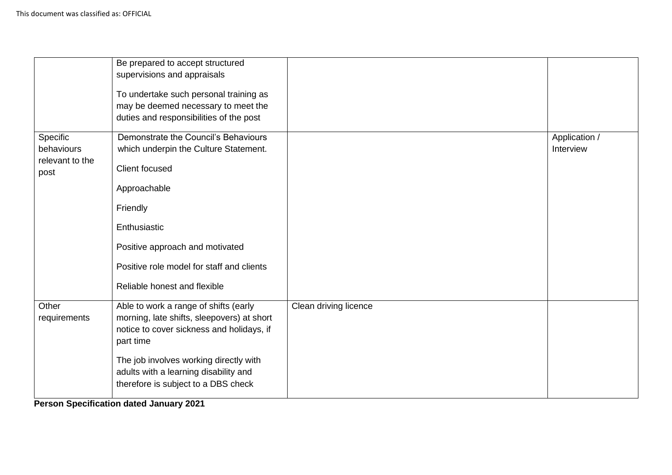|                               | Be prepared to accept structured<br>supervisions and appraisals<br>To undertake such personal training as<br>may be deemed necessary to meet the<br>duties and responsibilities of the post |                       |               |
|-------------------------------|---------------------------------------------------------------------------------------------------------------------------------------------------------------------------------------------|-----------------------|---------------|
| Specific                      | Demonstrate the Council's Behaviours                                                                                                                                                        |                       | Application / |
| behaviours<br>relevant to the | which underpin the Culture Statement.                                                                                                                                                       |                       | Interview     |
| post                          | Client focused                                                                                                                                                                              |                       |               |
|                               | Approachable                                                                                                                                                                                |                       |               |
|                               | Friendly                                                                                                                                                                                    |                       |               |
|                               | Enthusiastic                                                                                                                                                                                |                       |               |
|                               | Positive approach and motivated                                                                                                                                                             |                       |               |
|                               | Positive role model for staff and clients                                                                                                                                                   |                       |               |
|                               | Reliable honest and flexible                                                                                                                                                                |                       |               |
| Other                         | Able to work a range of shifts (early                                                                                                                                                       | Clean driving licence |               |
| requirements                  | morning, late shifts, sleepovers) at short<br>notice to cover sickness and holidays, if                                                                                                     |                       |               |
|                               | part time                                                                                                                                                                                   |                       |               |
|                               | The job involves working directly with                                                                                                                                                      |                       |               |
|                               | adults with a learning disability and                                                                                                                                                       |                       |               |
|                               | therefore is subject to a DBS check                                                                                                                                                         |                       |               |

**Person Specification dated January 2021**